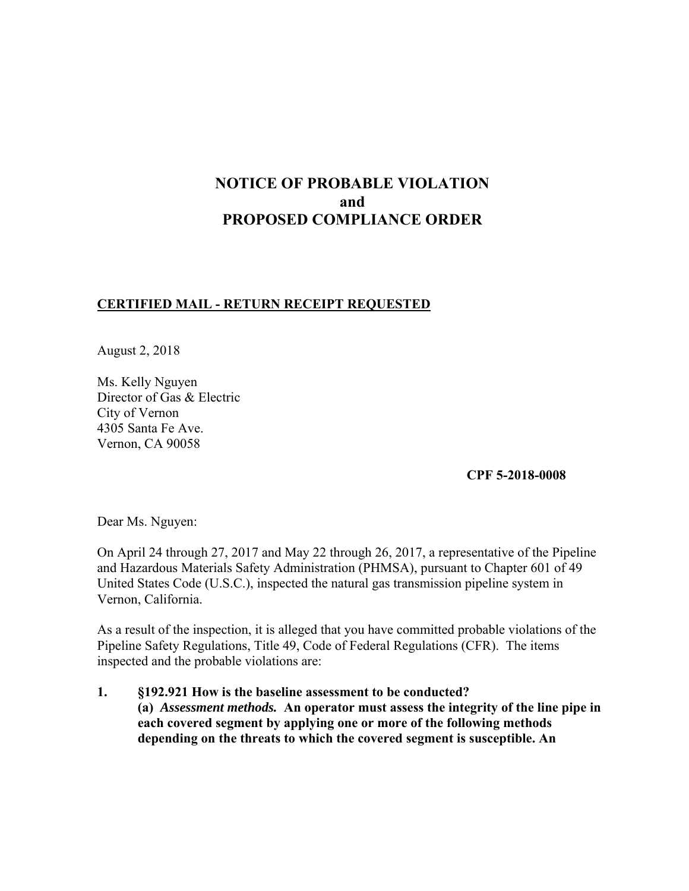# **NOTICE OF PROBABLE VIOLATION and PROPOSED COMPLIANCE ORDER**

### **CERTIFIED MAIL - RETURN RECEIPT REQUESTED**

August 2, 2018

Ms. Kelly Nguyen Director of Gas & Electric City of Vernon 4305 Santa Fe Ave. Vernon, CA 90058

**CPF 5-2018-0008**

Dear Ms. Nguyen:

On April 24 through 27, 2017 and May 22 through 26, 2017, a representative of the Pipeline and Hazardous Materials Safety Administration (PHMSA), pursuant to Chapter 601 of 49 United States Code (U.S.C.), inspected the natural gas transmission pipeline system in Vernon, California.

As a result of the inspection, it is alleged that you have committed probable violations of the Pipeline Safety Regulations, Title 49, Code of Federal Regulations (CFR). The items inspected and the probable violations are:

**1. §192.921 How is the baseline assessment to be conducted? (a)** *Assessment methods.* **An operator must assess the integrity of the line pipe in each covered segment by applying one or more of the following methods depending on the threats to which the covered segment is susceptible. An**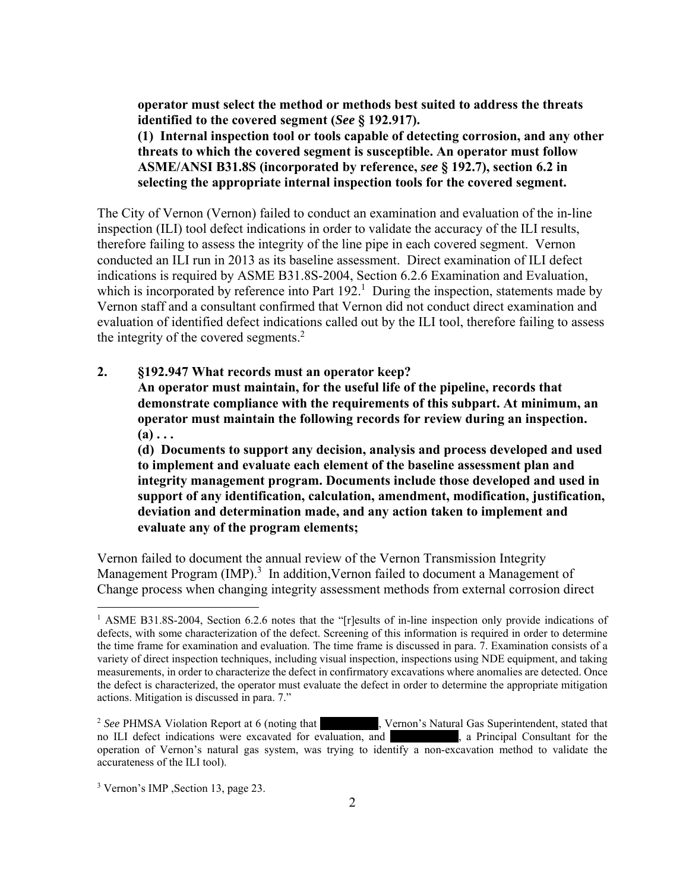**operator must select the method or methods best suited to address the threats identified to the covered segment (***See* **§ 192.917).** 

**(1) Internal inspection tool or tools capable of detecting corrosion, and any other threats to which the covered segment is susceptible. An operator must follow ASME/ANSI B31.8S (incorporated by reference,** *see* **§ 192.7), section 6.2 in selecting the appropriate internal inspection tools for the covered segment.**

 evaluation of identified defect indications called out by the ILI tool, therefore failing to assess The City of Vernon (Vernon) failed to conduct an examination and evaluation of the in-line inspection (ILI) tool defect indications in order to validate the accuracy of the ILI results, therefore failing to assess the integrity of the line pipe in each covered segment. Vernon conducted an ILI run in 2013 as its baseline assessment. Direct examination of ILI defect indications is required by ASME B31.8S-2004, Section 6.2.6 Examination and Evaluation, which is incorporated by reference into Part  $192<sup>1</sup>$  During the inspection, statements made by Vernon staff and a consultant confirmed that Vernon did not conduct direct examination and the integrity of the covered segments.<sup>2</sup>

**2. §192.947 What records must an operator keep?**

**An operator must maintain, for the useful life of the pipeline, records that demonstrate compliance with the requirements of this subpart. At minimum, an operator must maintain the following records for review during an inspection.**   $(a) \ldots$ 

**(d) Documents to support any decision, analysis and process developed and used to implement and evaluate each element of the baseline assessment plan and integrity management program. Documents include those developed and used in support of any identification, calculation, amendment, modification, justification, deviation and determination made, and any action taken to implement and evaluate any of the program elements;** 

Vernon failed to document the annual review of the Vernon Transmission Integrity Management Program (IMP).<sup>3</sup> In addition, Vernon failed to document a Management of Change process when changing integrity assessment methods from external corrosion direct

 $\overline{a}$ 

<sup>&</sup>lt;sup>1</sup> ASME B31.8S-2004, Section 6.2.6 notes that the "[r]esults of in-line inspection only provide indications of defects, with some characterization of the defect. Screening of this information is required in order to determine the time frame for examination and evaluation. The time frame is discussed in para. 7. Examination consists of a variety of direct inspection techniques, including visual inspection, inspections using NDE equipment, and taking the defect is characterized, the operator must evaluate the defect in order to determine the appropriate mitigation actions. Mitigation is discussed in para. 7." measurements, in order to characterize the defect in confirmatory excavations where anomalies are detected. Once

<sup>&</sup>lt;sup>2</sup> See PHMSA Violation Report at 6 (noting that , Vernon's Natural Gas Superintendent, stated that operation of Vernon's natural gas system, was trying to identify a non-excavation method to validate the accurateness of the ILI tool). no ILI defect indications were excavated for evaluation, and , a Principal Consultant for the

<sup>3</sup> Vernon's IMP ,Section 13, page 23.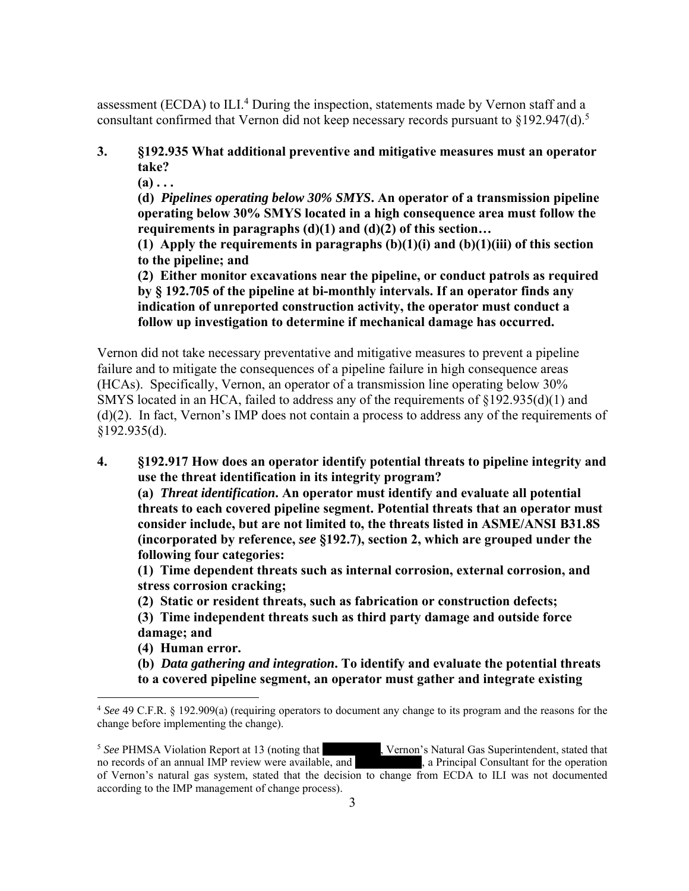assessment (ECDA) to ILI.<sup>4</sup> During the inspection, statements made by Vernon staff and a consultant confirmed that Vernon did not keep necessary records pursuant to  $\S 192.947(d).$ <sup>5</sup>

### **3. §192.935 What additional preventive and mitigative measures must an operator take?**

**(a) . . .** 

**(d)** *Pipelines operating below 30% SMYS***. An operator of a transmission pipeline operating below 30% SMYS located in a high consequence area must follow the requirements in paragraphs (d)(1) and (d)(2) of this section…** 

**(1) Apply the requirements in paragraphs (b)(1)(i) and (b)(1)(iii) of this section to the pipeline; and** 

**(2) Either monitor excavations near the pipeline, or conduct patrols as required by § 192.705 of the pipeline at bi-monthly intervals. If an operator finds any indication of unreported construction activity, the operator must conduct a follow up investigation to determine if mechanical damage has occurred.** 

Vernon did not take necessary preventative and mitigative measures to prevent a pipeline failure and to mitigate the consequences of a pipeline failure in high consequence areas (HCAs). Specifically, Vernon, an operator of a transmission line operating below 30% SMYS located in an HCA, failed to address any of the requirements of §192.935(d)(1) and (d)(2). In fact, Vernon's IMP does not contain a process to address any of the requirements of §192.935(d).

**4. §192.917 How does an operator identify potential threats to pipeline integrity and use the threat identification in its integrity program?** 

**(a)** *Threat identification***. An operator must identify and evaluate all potential threats to each covered pipeline segment. Potential threats that an operator must consider include, but are not limited to, the threats listed in ASME/ANSI B31.8S (incorporated by reference,** *see* **§192.7), section 2, which are grouped under the following four categories:** 

**(1) Time dependent threats such as internal corrosion, external corrosion, and stress corrosion cracking;** 

**(2) Static or resident threats, such as fabrication or construction defects;** 

**(3) Time independent threats such as third party damage and outside force damage; and** 

**(4) Human error.**

 $\overline{a}$ 

**(b)** *Data gathering and integration***. To identify and evaluate the potential threats to a covered pipeline segment, an operator must gather and integrate existing** 

no records of an annual IMP review were available, and , a Principal Consultant for the operation of Vernon's natural gas system, stated that the decision to change from ECDA to ILI was not documented <sup>5</sup> See PHMSA Violation Report at 13 (noting that , Vernon's Natural Gas Superintendent, stated that no records of an annual IMP review were available, and , a Principal Consultant for the operation according to the IMP management of change process).

<sup>4</sup> *See* 49 C.F.R. § 192.909(a) (requiring operators to document any change to its program and the reasons for the change before implementing the change).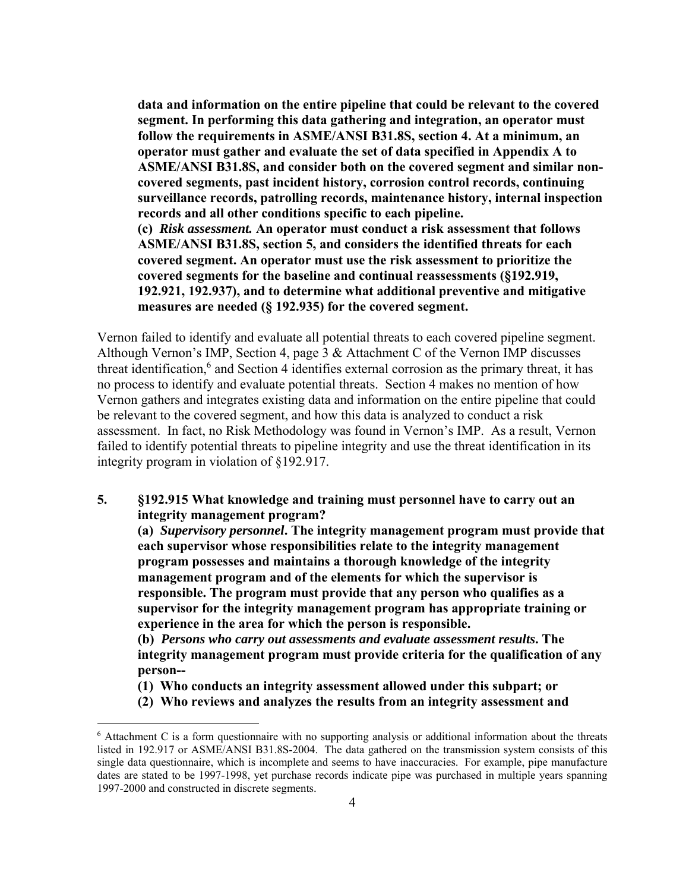**data and information on the entire pipeline that could be relevant to the covered segment. In performing this data gathering and integration, an operator must follow the requirements in ASME/ANSI B31.8S, section 4. At a minimum, an operator must gather and evaluate the set of data specified in Appendix A to ASME/ANSI B31.8S, and consider both on the covered segment and similar noncovered segments, past incident history, corrosion control records, continuing surveillance records, patrolling records, maintenance history, internal inspection records and all other conditions specific to each pipeline. (c)** *Risk assessment.* **An operator must conduct a risk assessment that follows ASME/ANSI B31.8S, section 5, and considers the identified threats for each covered segment. An operator must use the risk assessment to prioritize the covered segments for the baseline and continual reassessments (§192.919, 192.921, 192.937), and to determine what additional preventive and mitigative** 

**measures are needed (§ 192.935) for the covered segment.** 

Vernon failed to identify and evaluate all potential threats to each covered pipeline segment. Although Vernon's IMP, Section 4, page 3 & Attachment C of the Vernon IMP discusses threat identification,<sup>6</sup> and Section 4 identifies external corrosion as the primary threat, it has no process to identify and evaluate potential threats. Section 4 makes no mention of how Vernon gathers and integrates existing data and information on the entire pipeline that could be relevant to the covered segment, and how this data is analyzed to conduct a risk assessment. In fact, no Risk Methodology was found in Vernon's IMP. As a result, Vernon failed to identify potential threats to pipeline integrity and use the threat identification in its integrity program in violation of §192.917.

**5. §192.915 What knowledge and training must personnel have to carry out an integrity management program?**

**(a)** *Supervisory personnel***. The integrity management program must provide that each supervisor whose responsibilities relate to the integrity management program possesses and maintains a thorough knowledge of the integrity management program and of the elements for which the supervisor is responsible. The program must provide that any person who qualifies as a supervisor for the integrity management program has appropriate training or experience in the area for which the person is responsible.**

**(b)** *Persons who carry out assessments and evaluate assessment results***. The integrity management program must provide criteria for the qualification of any person--**

- **(1) Who conducts an integrity assessment allowed under this subpart; or**
- **(2) Who reviews and analyzes the results from an integrity assessment and**

 $\overline{a}$ 

<sup>&</sup>lt;sup>6</sup> Attachment C is a form questionnaire with no supporting analysis or additional information about the threats listed in 192.917 or ASME/ANSI B31.8S-2004. The data gathered on the transmission system consists of this dates are stated to be 1997-1998, yet purchase records indicate pipe was purchased in multiple years spanning single data questionnaire, which is incomplete and seems to have inaccuracies. For example, pipe manufacture 1997-2000 and constructed in discrete segments.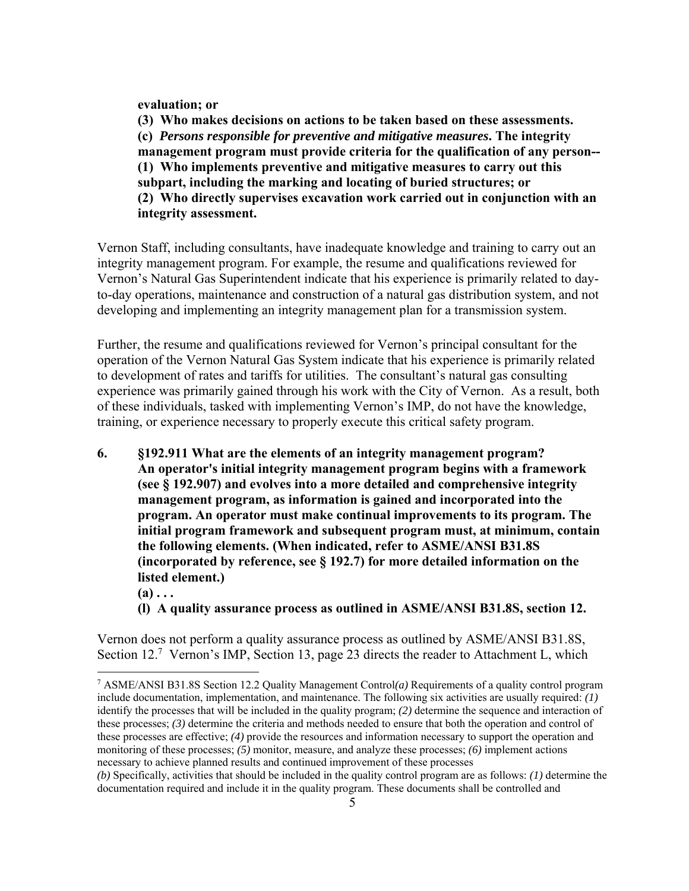**evaluation; or** 

**(3) Who makes decisions on actions to be taken based on these assessments. (c)** *Persons responsible for preventive and mitigative measures***. The integrity management program must provide criteria for the qualification of any person-- (1) Who implements preventive and mitigative measures to carry out this subpart, including the marking and locating of buried structures; or (2) Who directly supervises excavation work carried out in conjunction with an integrity assessment.** 

Vernon Staff, including consultants, have inadequate knowledge and training to carry out an integrity management program. For example, the resume and qualifications reviewed for Vernon's Natural Gas Superintendent indicate that his experience is primarily related to dayto-day operations, maintenance and construction of a natural gas distribution system, and not developing and implementing an integrity management plan for a transmission system.

Further, the resume and qualifications reviewed for Vernon's principal consultant for the operation of the Vernon Natural Gas System indicate that his experience is primarily related to development of rates and tariffs for utilities. The consultant's natural gas consulting experience was primarily gained through his work with the City of Vernon. As a result, both of these individuals, tasked with implementing Vernon's IMP, do not have the knowledge, training, or experience necessary to properly execute this critical safety program.

- **6. §192.911 What are the elements of an integrity management program? An operator's initial integrity management program begins with a framework (see § 192.907) and evolves into a more detailed and comprehensive integrity management program, as information is gained and incorporated into the program. An operator must make continual improvements to its program. The initial program framework and subsequent program must, at minimum, contain the following elements. (When indicated, refer to ASME/ANSI B31.8S (incorporated by reference, see § 192.7) for more detailed information on the listed element.)** 
	- $(a) \ldots$

 $\overline{a}$ 

**(l) A quality assurance process as outlined in ASME/ANSI B31.8S, section 12.** 

Vernon does not perform a quality assurance process as outlined by ASME/ANSI B31.8S, Section 12.<sup>7</sup> Vernon's IMP, Section 13, page 23 directs the reader to Attachment L, which

 these processes; *(3)* determine the criteria and methods needed to ensure that both the operation and control of 7 ASME/ANSI B31.8S Section 12.2 Quality Management Control*(a)* Requirements of a quality control program include documentation, implementation, and maintenance. The following six activities are usually required: *(1)*  identify the processes that will be included in the quality program; *(2)* determine the sequence and interaction of these processes are effective; *(4)* provide the resources and information necessary to support the operation and monitoring of these processes; *(5)* monitor, measure, and analyze these processes; *(6)* implement actions necessary to achieve planned results and continued improvement of these processes

 *(b)* Specifically, activities that should be included in the quality control program are as follows: *(1)* determine the documentation required and include it in the quality program. These documents shall be controlled and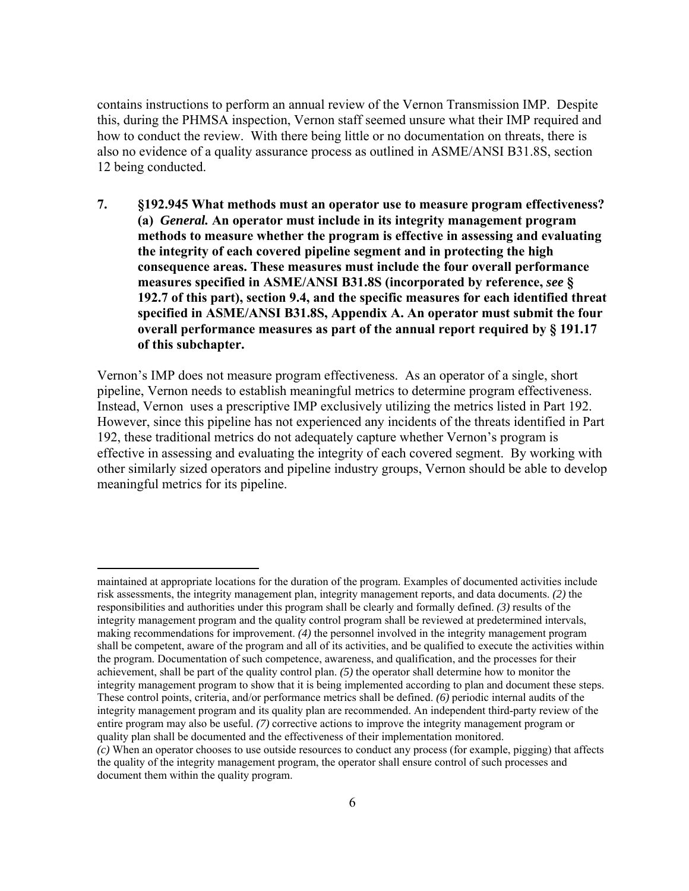contains instructions to perform an annual review of the Vernon Transmission IMP. Despite this, during the PHMSA inspection, Vernon staff seemed unsure what their IMP required and how to conduct the review. With there being little or no documentation on threats, there is also no evidence of a quality assurance process as outlined in ASME/ANSI B31.8S, section 12 being conducted.

**7. §192.945 What methods must an operator use to measure program effectiveness? (a)** *General.* **An operator must include in its integrity management program methods to measure whether the program is effective in assessing and evaluating the integrity of each covered pipeline segment and in protecting the high consequence areas. These measures must include the four overall performance measures specified in ASME/ANSI B31.8S (incorporated by reference,** *see* **§ 192.7 of this part), section 9.4, and the specific measures for each identified threat specified in ASME/ANSI B31.8S, Appendix A. An operator must submit the four overall performance measures as part of the annual report required by § 191.17 of this subchapter.** 

Vernon's IMP does not measure program effectiveness. As an operator of a single, short pipeline, Vernon needs to establish meaningful metrics to determine program effectiveness. Instead, Vernon uses a prescriptive IMP exclusively utilizing the metrics listed in Part 192. However, since this pipeline has not experienced any incidents of the threats identified in Part 192, these traditional metrics do not adequately capture whether Vernon's program is effective in assessing and evaluating the integrity of each covered segment. By working with other similarly sized operators and pipeline industry groups, Vernon should be able to develop meaningful metrics for its pipeline.

 $\overline{a}$ 

 risk assessments, the integrity management plan, integrity management reports, and data documents. *(2)* the responsibilities and authorities under this program shall be clearly and formally defined. *(3)* results of the integrity management program and the quality control program shall be reviewed at predetermined intervals, shall be competent, aware of the program and all of its activities, and be qualified to execute the activities within integrity management program to show that it is being implemented according to plan and document these steps. integrity management program and its quality plan are recommended. An independent third-party review of the quality plan shall be documented and the effectiveness of their implementation monitored. maintained at appropriate locations for the duration of the program. Examples of documented activities include making recommendations for improvement. *(4)* the personnel involved in the integrity management program the program. Documentation of such competence, awareness, and qualification, and the processes for their achievement, shall be part of the quality control plan. *(5)* the operator shall determine how to monitor the These control points, criteria, and/or performance metrics shall be defined. *(6)* periodic internal audits of the entire program may also be useful. *(7)* corrective actions to improve the integrity management program or

 the quality of the integrity management program, the operator shall ensure control of such processes and *(c)* When an operator chooses to use outside resources to conduct any process (for example, pigging) that affects document them within the quality program.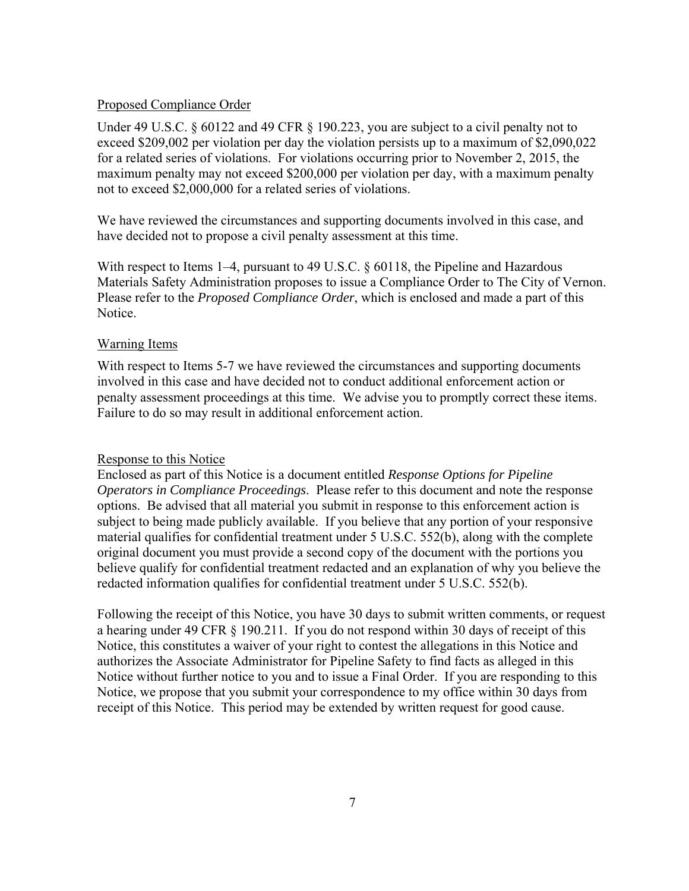#### Proposed Compliance Order

Under 49 U.S.C. § 60122 and 49 CFR § 190.223, you are subject to a civil penalty not to exceed \$209,002 per violation per day the violation persists up to a maximum of \$2,090,022 for a related series of violations. For violations occurring prior to November 2, 2015, the maximum penalty may not exceed \$200,000 per violation per day, with a maximum penalty not to exceed \$2,000,000 for a related series of violations.

We have reviewed the circumstances and supporting documents involved in this case, and have decided not to propose a civil penalty assessment at this time.

With respect to Items 1–4, pursuant to 49 U.S.C. § 60118, the Pipeline and Hazardous Materials Safety Administration proposes to issue a Compliance Order to The City of Vernon. Please refer to the *Proposed Compliance Order*, which is enclosed and made a part of this Notice.

#### Warning Items

With respect to Items 5-7 we have reviewed the circumstances and supporting documents involved in this case and have decided not to conduct additional enforcement action or penalty assessment proceedings at this time. We advise you to promptly correct these items. Failure to do so may result in additional enforcement action.

#### Response to this Notice

Enclosed as part of this Notice is a document entitled *Response Options for Pipeline Operators in Compliance Proceedings*. Please refer to this document and note the response options. Be advised that all material you submit in response to this enforcement action is subject to being made publicly available. If you believe that any portion of your responsive material qualifies for confidential treatment under 5 U.S.C. 552(b), along with the complete original document you must provide a second copy of the document with the portions you believe qualify for confidential treatment redacted and an explanation of why you believe the redacted information qualifies for confidential treatment under 5 U.S.C. 552(b).

Following the receipt of this Notice, you have 30 days to submit written comments, or request a hearing under 49 CFR § 190.211. If you do not respond within 30 days of receipt of this Notice, this constitutes a waiver of your right to contest the allegations in this Notice and authorizes the Associate Administrator for Pipeline Safety to find facts as alleged in this Notice without further notice to you and to issue a Final Order. If you are responding to this Notice, we propose that you submit your correspondence to my office within 30 days from receipt of this Notice. This period may be extended by written request for good cause.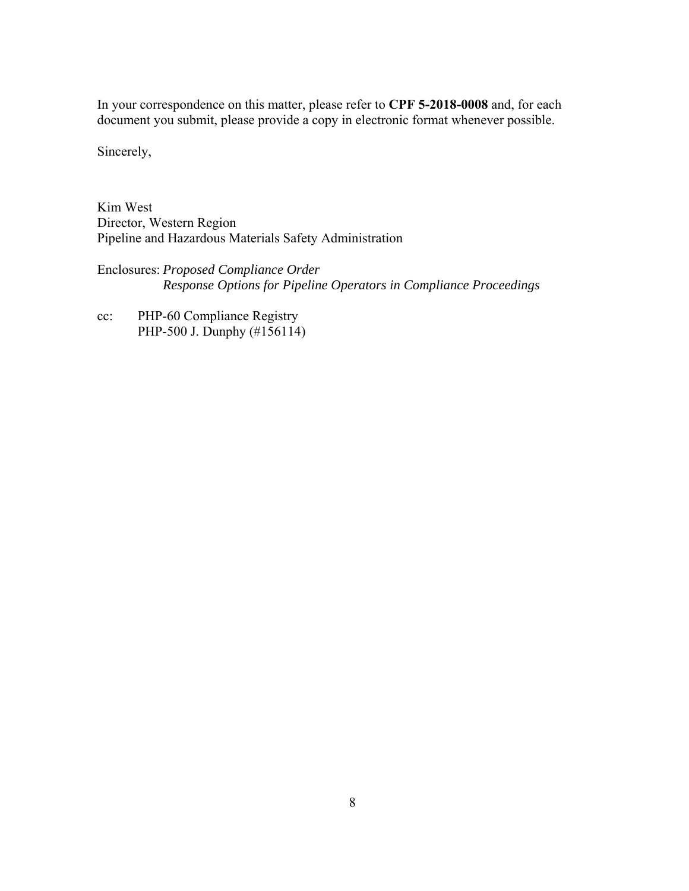In your correspondence on this matter, please refer to **CPF 5-2018-0008** and, for each document you submit, please provide a copy in electronic format whenever possible.

Sincerely,

Kim West Director, Western Region Pipeline and Hazardous Materials Safety Administration

Enclosures: *Proposed Compliance Order Response Options for Pipeline Operators in Compliance Proceedings* 

cc: PHP-60 Compliance Registry PHP-500 J. Dunphy (#156114)